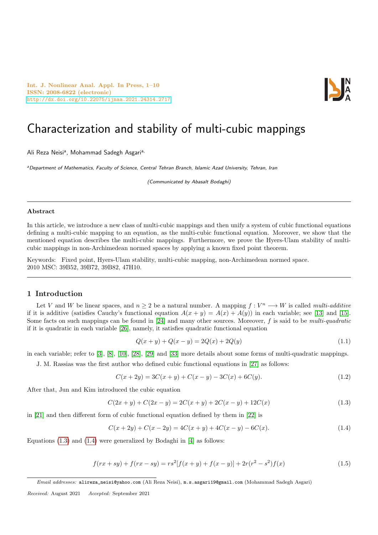Int. J. Nonlinear Anal. Appl. In Press, 1–10 ISSN: 2008-6822 (electronic) <http://dx.doi.org/10.22075/ijnaa.2021.24314.2717>



# Characterization and stability of multi-cubic mappings

Ali Reza Neisi<sup>a</sup>, Mohammad Sadegh Asgari<sup>a,</sup>

<sup>a</sup>Department of Mathematics, Faculty of Science, Central Tehran Branch, Islamic Azad University, Tehran, Iran

(Communicated by Abasalt Bodaghi)

#### Abstract

In this article, we introduce a new class of multi-cubic mappings and then unify a system of cubic functional equations defining a multi-cubic mapping to an equation, as the multi-cubic functional equation. Moreover, we show that the mentioned equation describes the multi-cubic mappings. Furthermore, we prove the Hyers-Ulam stability of multicubic mappings in non-Archimedean normed spaces by applying a known fixed point theorem.

Keywords: Fixed point, Hyers-Ulam stability, multi-cubic mapping, non-Archimedean normed space. 2010 MSC: 39B52, 39B72, 39B82, 47H10.

### 1 Introduction

Let V and W be linear spaces, and  $n \geq 2$  be a natural number. A mapping  $f: V^n \longrightarrow W$  is called *multi-additive* if it is additive (satisfies Cauchy's functional equation  $A(x + y) = A(x) + A(y)$ ) in each variable; see [\[13\]](#page-8-0) and [\[15\]](#page-8-1). Some facts on such mappings can be found in  $[24]$  and many other sources. Moreover, f is said to be *multi-quadratic* if it is quadratic in each variable [\[26\]](#page-9-1), namely, it satisfies quadratic functional equation

<span id="page-0-3"></span><span id="page-0-1"></span><span id="page-0-0"></span>
$$
Q(x + y) + Q(x - y) = 2Q(x) + 2Q(y)
$$
\n(1.1)

in each variable; refer to [\[3\]](#page-8-2), [\[8\]](#page-8-3), [\[10\]](#page-8-4), [\[28\]](#page-9-2), [\[29\]](#page-9-3) and [\[33\]](#page-9-4) more details about some forms of multi-quadratic mappings.

J. M. Rassias was the first author who defined cubic functional equations in [\[27\]](#page-9-5) as follows:

$$
C(x+2y) = 3C(x+y) + C(x-y) - 3C(x) + 6C(y).
$$
\n(1.2)

After that, Jun and Kim introduced the cubic equation

$$
C(2x + y) + C(2x - y) = 2C(x + y) + 2C(x - y) + 12C(x)
$$
\n(1.3)

in [\[21\]](#page-8-5) and then different form of cubic functional equation defined by them in [\[22\]](#page-8-6) is

<span id="page-0-2"></span>
$$
C(x+2y) + C(x-2y) = 4C(x+y) + 4C(x-y) - 6C(x).
$$
\n(1.4)

Equations  $(1.3)$  and  $(1.4)$  were generalized by Bodaghi in [\[4\]](#page-8-7) as follows:

$$
f(rx+sy) + f(rx-sy) = rs^{2}[f(x+y) + f(x-y)] + 2r(r^{2} - s^{2})f(x)
$$
\n(1.5)

Received: August 2021 Accepted: September 2021

Email addresses: alireza\_neisi@yahoo.com (Ali Reza Neisi), m.s.asgari19@gmail.com (Mohammad Sadegh Asgari)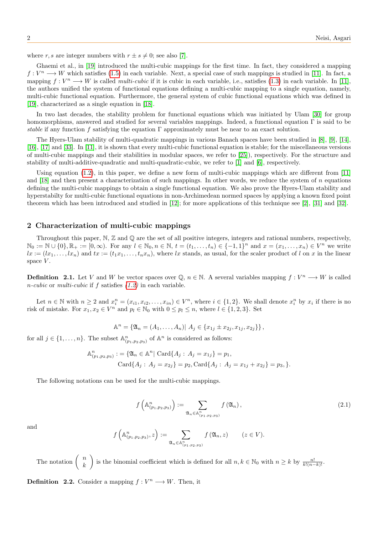where r, s are integer numbers with  $r \pm s \neq 0$ ; see also [\[7\]](#page-8-8).

Ghaemi et al., in [\[19\]](#page-8-9) introduced the multi-cubic mappings for the first time. In fact, they considered a mapping  $f: V^n \longrightarrow W$  which satisfies [\(1.5\)](#page-0-2) in each variable. Next, a special case of such mappings is studied in [\[11\]](#page-8-10). In fact, a mapping  $f: V^n \longrightarrow W$  is called *multi-cubic* if it is cubic in each variable, i.e., satisfies [\(1.3\)](#page-0-0) in each variable. In [\[11\]](#page-8-10), the authors unified the system of functional equations defining a multi-cubic mapping to a single equation, namely, multi-cubic functional equation. Furthermore, the general system of cubic functional equations which was defined in [\[19\]](#page-8-9), characterized as a single equation in [\[18\]](#page-8-11).

In two last decades, the stability problem for functional equations which was initiated by Ulam [\[30\]](#page-9-6) for group homomorphisms, answered and studied for several variables mappings. Indeed, a functional equation Γ is said to be stable if any function f satisfying the equation Γ approximately must be near to an exact solution.

The Hyers-Ulam stability of multi-quadratic mappings in various Banach spaces have been studied in [\[8\]](#page-8-3), [\[9\]](#page-8-12), [\[14\]](#page-8-13), [\[16\]](#page-8-14), [\[17\]](#page-8-15) and [\[33\]](#page-9-4). In [\[11\]](#page-8-10), it is shown that every multi-cubic functional equation is stable; for the miscellaneous versions of multi-cubic mappings and their stabilities in modular spaces, we refer to [\[25\]](#page-9-7)), respectively. For the structure and stability of multi-additive-quadratic and multi-quadratic-cubic, we refer to [\[1\]](#page-8-16) and [\[6\]](#page-8-17), respectively.

Using equation  $(1.2)$ , in this paper, we define a new form of multi-cubic mappings which are different from  $[11]$ and  $[18]$  and then present a characterization of such mappings. In other words, we reduce the system of n equations defining the multi-cubic mappings to obtain a single functional equation. We also prove the Hyers-Ulam stability and hyperstabilty for multi-cubic functional equations in non-Archimedean normed spaces by applying a known fixed point theorem which has been introduced and studied in [\[12\]](#page-8-18); for more applications of this technique see [\[2\]](#page-8-19), [\[31\]](#page-9-8) and [\[32\]](#page-9-9).

# 2 Characterization of multi-cubic mappings

Throughout this paper,  $\mathbb{N}, \mathbb{Z}$  and  $\mathbb{Q}$  are the set of all positive integers, integers and rational numbers, respectively,  $\mathbb{N}_0 := \mathbb{N} \cup \{0\}, \mathbb{R}_+ := [0, \infty)$ . For any  $l \in \mathbb{N}_0, n \in \mathbb{N}, t = (t_1, \ldots, t_n) \in \{-1, 1\}^n$  and  $x = (x_1, \ldots, x_n) \in V^n$  we write  $lx := (lx_1, \ldots, lx_n)$  and  $tx := (t_1x_1, \ldots, t_nx_n)$ , where lx stands, as usual, for the scaler product of l on x in the linear space  $V$ .

**Definition** 2.1. Let V and W be vector spaces over Q,  $n \in \mathbb{N}$ . A several variables mapping  $f: V^n \longrightarrow W$  is called *n-cubic* or *multi-cubic* if f satisfies  $(1.2)$  in each variable.

Let  $n \in \mathbb{N}$  with  $n \ge 2$  and  $x_i^n = (x_{i1}, x_{i2}, \ldots, x_{in}) \in V^n$ , where  $i \in \{1, 2\}$ . We shall denote  $x_i^n$  by  $x_i$  if there is no risk of mistake. For  $x_1, x_2 \in V^n$  and  $p_l \in \mathbb{N}_0$  with  $0 \leq p_l \leq n$ , where  $l \in \{1, 2, 3\}$ . Set

$$
\mathbb{A}^{n} = \{ \mathfrak{A}_{n} = (A_{1}, \ldots, A_{n}) | A_{j} \in \{ x_{1j} \pm x_{2j}, x_{1j}, x_{2j} \} \},
$$

for all  $j \in \{1, \ldots, n\}$ . The subset  $\mathbb{A}^n_{(p_1, p_2, p_3)}$  of  $\mathbb{A}^n$  is considered as follows:

$$
\mathbb{A}^{n}_{(p_1, p_2, p_3)} := \{ \mathfrak{A}_n \in \mathbb{A}^n | \operatorname{Card} \{ A_j : A_j = x_{1j} \} = p_1,
$$
  
 
$$
\operatorname{Card} \{ A_j : A_j = x_{2j} \} = p_2, \operatorname{Card} \{ A_j : A_j = x_{1j} + x_{2j} \} = p_3, \}.
$$

The following notations can be used for the multi-cubic mappings.

<span id="page-1-0"></span>
$$
f\left(\mathbb{A}_{(p_1,p_2,p_3)}^n\right) := \sum_{\mathfrak{A}_n \in \mathbb{A}_{(p_1,p_2,p_3)}^n} f\left(\mathfrak{A}_n\right),\tag{2.1}
$$

and

$$
f\left(\mathbb{A}_{(p_1,p_2,p_3)}^n,z\right):=\sum_{\mathfrak{A}_n\in\mathbb{A}_{(p_1,p_2,p_3)}^n}f\left(\mathfrak{A}_n,z\right)\qquad(z\in V).
$$

The notation  $\begin{pmatrix} n \\ n \end{pmatrix}$ k is the binomial coefficient which is defined for all  $n, k \in \mathbb{N}_0$  with  $n \geq k$  by  $\frac{n!}{k!(n-k)!}$ .

**Definition 2.2.** Consider a mapping  $f: V^n \longrightarrow W$ . Then, it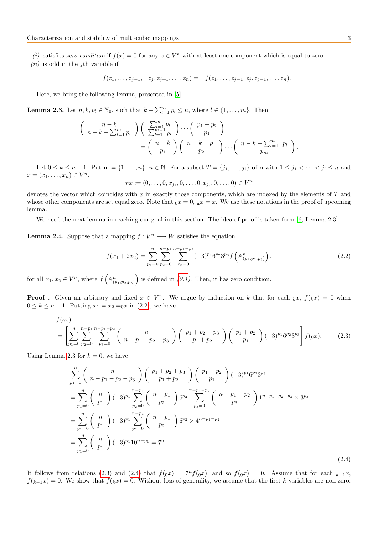- (i) satisfies zero condition if  $f(x) = 0$  for any  $x \in V^n$  with at least one component which is equal to zero.
- $(ii)$  is odd in the *j*th variable if

<span id="page-2-1"></span>
$$
f(z_1,\ldots,z_{j-1},-z_j,z_{j+1},\ldots,z_n)=-f(z_1,\ldots,z_{j-1},z_j,z_{j+1},\ldots,z_n).
$$

Here, we bring the following lemma, presented in [\[5\]](#page-8-20).

**Lemma 2.3.** Let  $n, k, p_l \in \mathbb{N}_0$ , such that  $k + \sum_{l=1}^{m} p_l \leq n$ , where  $l \in \{1, \ldots, m\}$ . Then

$$
\begin{pmatrix}\nn - k \\
n - k - \sum_{l=1}^{m} p_l\n\end{pmatrix}\n\begin{pmatrix}\n\sum_{l=1}^{m} p_l \\
\sum_{l=1}^{m-1} p_l\n\end{pmatrix}\n\cdots\n\begin{pmatrix}\np_1 + p_2 \\
p_1\n\end{pmatrix}\n=\n\begin{pmatrix}\nn - k \\
p_1\n\end{pmatrix}\n\begin{pmatrix}\nn - k - p_1 \\
p_2\n\end{pmatrix}\n\cdots\n\begin{pmatrix}\nn - k - \sum_{l=1}^{m-1} p_l \\
p_m\n\end{pmatrix}.
$$

Let  $0 \leq k \leq n-1$ . Put  $\mathbf{n} := \{1, \ldots, n\}$ ,  $n \in \mathbb{N}$ . For a subset  $T = \{j_1, \ldots, j_i\}$  of  $\mathbf{n}$  with  $1 \leq j_1 < \cdots < j_i \leq n$  and  $x = (x_1, \ldots, x_n) \in V^n,$ 

<span id="page-2-0"></span>
$$
Tx := (0, \dots, 0, x_{j_1}, 0, \dots, 0, x_{j_i}, 0, \dots, 0) \in V^n
$$

denotes the vector which coincides with  $x$  in exactly those components, which are indexed by the elements of  $T$  and whose other components are set equal zero. Note that  $0x = 0$ ,  $n^2 = x$ . We use these notations in the proof of upcoming lemma.

We need the next lemma in reaching our goal in this section. The idea of proof is taken form [\[6,](#page-8-17) Lemma 2.3].

<span id="page-2-4"></span>**Lemma 2.4.** Suppose that a mapping  $f: V^n \longrightarrow W$  satisfies the equation

<span id="page-2-2"></span>
$$
f(x_1 + 2x_2) = \sum_{p_1=0}^{n} \sum_{p_2=0}^{n-p_1} \sum_{p_3=0}^{n-p_1-p_2} (-3)^{p_1} 6^{p_2} 3^{p_3} f\left(\mathbb{A}_{(p_1, p_2, p_3)}^n\right),\tag{2.2}
$$

for all  $x_1, x_2 \in V^n$ , where  $f\left(\mathbb{A}_{(p_1,p_2,p_3)}^n\right)$  is defined in  $(2.1)$ . Then, it has zero condition.

**Proof**. Given an arbitrary and fixed  $x \in V^n$ . We argue by induction on k that for each  $_k x$ ,  $f(kx) = 0$  when  $0 \le k \le n - 1$ . Putting  $x_1 = x_2 = 0$  in [\(2.2\)](#page-2-0), we have

$$
f_{(0x)}\n= \left[ \sum_{p_1=0}^n \sum_{p_2=0}^{n-p_1} \sum_{p_3=0}^{n-p_1-p_2} \binom{n}{n-p_1-p_2-p_3} \binom{p_1+p_2+p_3}{p_1+p_2} \binom{p_1+p_2}{p_1} (-3)^{p_1} 6^{p_2} 3^{p_3} \right] f_{(0x)}.\n\tag{2.3}
$$

Using Lemma [2.3](#page-2-1) for  $k = 0$ , we have

<span id="page-2-3"></span>
$$
\sum_{p_1=0}^{n} {n \choose n-p_1-p_2-p_3} {p_1+p_2+p_3 \choose p_1+p_2} (-3)^{p_1} 6^{p_2} 3^{p_3}
$$
  
= 
$$
\sum_{p_1=0}^{n} {n \choose p_1} (-3)^{p_1} \sum_{p_2=0}^{n-p_1} {n-p_1 \choose p_2} 6^{p_2} \sum_{p_3=0}^{n-p_1-p_2} {n-p_1-p_2 \choose p_3} 1^{n-p_1-p_2-p_3} \times 3^{p_3}
$$
  
= 
$$
\sum_{p_1=0}^{n} {n \choose p_1} (-3)^{p_1} \sum_{p_2=0}^{n-p_1} {n-p_1 \choose p_2} 6^{p_2} \times 4^{n-p_1-p_2}
$$
  
= 
$$
\sum_{p_1=0}^{n} {n \choose p_1} (-3)^{p_1} 10^{n-p_1} = 7^n.
$$
 (2.4)

It follows from relations [\(2.3\)](#page-2-2) and [\(2.4\)](#page-2-3) that  $f(x) = 7<sup>n</sup> f(x)$ , and so  $f(x) = 0$ . Assume that for each  $k-1x$ ,  $f(k-1x) = 0$ . We show that  $f(kx) = 0$ . Without loss of generality, we assume that the first k variables are non-zero.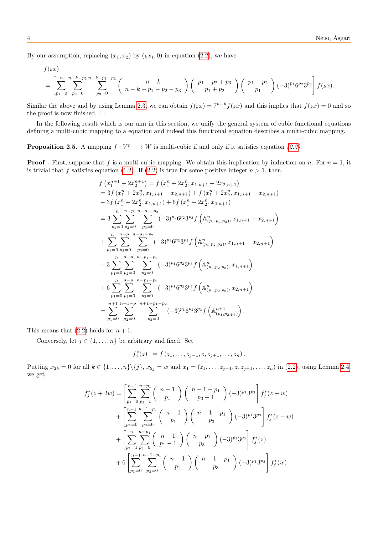By our assumption, replacing  $(x_1, x_2)$  by  $(kx_1, 0)$  in equation [\(2.2\)](#page-2-0), we have

$$
f(kx) = \left[ \sum_{p_1=0}^{n} \sum_{p_2=0}^{n-k-p_1} \sum_{p_3=0}^{n-k-p_1-p_2} \binom{n-k}{n-k-p_1-p_2-p_3} \binom{p_1+p_2+p_3}{p_1+p_2} \binom{p_1+p_2}{p_1} (-3)^{p_1} 6^{p_2} 3^{p_3} \right] f(kx).
$$

Similar the above and by using Lemma [2.3,](#page-2-1) we can obtain  $f(kx) = 7^{n-k} f(kx)$  and this implies that  $f(kx) = 0$  and so the proof is now finished.  $\square$ 

In the following result which is our aim in this section, we unify the general system of cubic functional equations defining a multi-cubic mapping to a equation and indeed this functional equation describes a multi-cubic mapping.

**Proposition 2.5.** A mapping  $f: V^n \longrightarrow W$  is multi-cubic if and only if it satisfies equation [\(2.2\)](#page-2-0).

**Proof.** First, suppose that f is a multi-cubic mapping. We obtain this implication by induction on n. For  $n = 1$ , it is trivial that f satisfies equation [\(1.2\)](#page-0-3). If [\(2.2\)](#page-2-0) is true for some positive integer  $n > 1$ , then,

$$
f(x_1^{n+1} + 2x_2^{n+1}) = f(x_1^n + 2x_2^n, x_{1,n+1} + 2x_{2,n+1})
$$
  
\n
$$
= 3f(x_1^n + 2x_2^n, x_{1,n+1} + x_{2,n+1}) + f(x_1^n + 2x_2^n, x_{1,n+1} - x_{2,n+1})
$$
  
\n
$$
- 3f(x_1^n + 2x_2^n, x_{1,n+1}) + 6f(x_1^n + 2x_2^n, x_{2,n+1})
$$
  
\n
$$
= 3 \sum_{p_1=0}^n \sum_{p_2=0}^{n-p_1} \sum_{p_3=0}^{n-p_1-p_2} (-3)^{p_1} 6^{p_2} 3^{p_3} f\left(\mathbb{A}_{(p_1, p_2, p_3)}^n, x_{1,n+1} + x_{2,n+1}\right)
$$
  
\n
$$
+ \sum_{p_1=0}^n \sum_{p_2=0}^{n-p_1} \sum_{p_3=0}^{n-p_1-p_2} (-3)^{p_1} 6^{p_2} 3^{p_3} f\left(\mathbb{A}_{(p_1, p_2, p_3)}^n, x_{1,n+1} - x_{2,n+1}\right)
$$
  
\n
$$
- 3 \sum_{p_1=0}^n \sum_{p_2=0}^{n-p_1} \sum_{p_3=0}^{n-p_1-p_2} (-3)^{p_1} 6^{p_2} 3^{p_3} f\left(\mathbb{A}_{(p_1, p_2, p_3)}^n, x_{1,n+1}\right)
$$
  
\n
$$
+ 6 \sum_{p_1=0}^n \sum_{p_2=0}^{n-p_1} \sum_{p_3=0}^{n-p_1-p_2} (-3)^{p_1} 6^{p_2} 3^{p_3} f\left(\mathbb{A}_{(p_1, p_2, p_3)}^n, x_{2,n+1}\right)
$$
  
\n
$$
= \sum_{p_1=0}^{n+1} \sum_{p_2=0}^{n+1} \sum_{p_3=0}^{n+p_1-1-p_2} (-3)^{p_1} 6^{p_2} 3^{p_3} f\left(\mathbb{A}_{(p_1, p_2, p_3)}^{n+
$$

This means that  $(2.2)$  holds for  $n + 1$ .

Conversely, let  $j \in \{1, \ldots, n\}$  be arbitrary and fixed. Set

$$
f_j^*(z) := f(z_1, \ldots, z_{j-1}, z, z_{j+1}, \ldots, z_n).
$$

Putting  $x_{2k} = 0$  for all  $k \in \{1, ..., n\} \setminus \{j\}, x_{2j} = w$  and  $x_1 = (z_1, ..., z_{j-1}, z, z_{j+1}, ..., z_n)$  in [\(2.2\)](#page-2-0), using Lemma [2.4,](#page-2-4) we get

$$
f_j^*(z+2w) = \left[ \sum_{p_1=0}^{n-1} \sum_{p_3=1}^{n-p_1} {n-1 \choose p_1} {n-1-p_1 \choose p_3-1} (-3)^{p_1} 3^{p_3} \right] f_j^*(z+w)
$$
  
+ 
$$
\left[ \sum_{p_1=0}^{n-1} \sum_{p_3=0}^{n-1-p_1} {n-1 \choose p_1} {n-1 \choose p_3} (-3)^{p_1} 3^{p_3} \right] f_j^*(z-w)
$$
  
+ 
$$
\left[ \sum_{p_1=1}^{n} \sum_{p_3=0}^{n-p_1} {n-1 \choose p_1-1} {n-p_1 \choose p_3} (-3)^{p_1} 3^{p_3} \right] f_j^*(z)
$$
  
+ 
$$
6 \left[ \sum_{p_1=0}^{n-1} \sum_{p_3=0}^{n-1-p_1} {n-1 \choose p_1} {n-1-p_1 \choose p_3} (-3)^{p_1} 3^{p_3} \right] f_j^*(w)
$$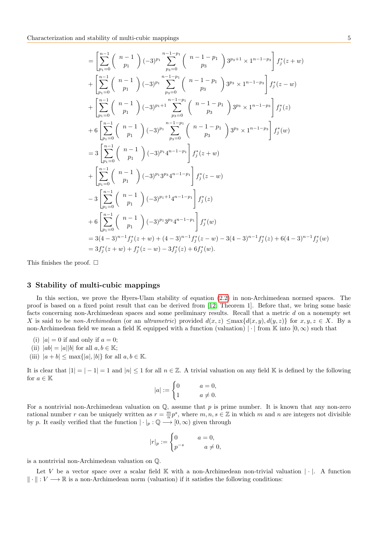$$
= \left[\sum_{p_1=0}^{n-1} {n-1 \choose p_1} (-3)^{p_1} \sum_{p_3=0}^{n-1-p_1} {n-1-p_1 \choose p_3} 3^{p_3+1} \times 1^{n-1-p_3} \right] f_j^*(z+w) + \left[\sum_{p_1=0}^{n-1} {n-1 \choose p_1} (-3)^{p_1} \sum_{p_3=0}^{n-1-p_1} {n-1-p_1 \choose p_3} 3^{p_3} \times 1^{n-1-p_3} \right] f_j^*(z-w) + \left[\sum_{p_1=0}^{n-1} {n-1 \choose p_1} (-3)^{p_1+1} \sum_{p_3=0}^{n-1-p_1} {n-1-p_1 \choose p_3} 3^{p_3} \times 1^{n-1-p_3} \right] f_j^*(z) + 6 \left[\sum_{p_1=0}^{n-1} {n-1 \choose p_1} (-3)^{p_1} \sum_{p_3=0}^{n-1-p_1} {n-1-p_1 \choose p_3} 3^{p_3} \times 1^{n-1-p_3} \right] f_j^*(w) = 3 \left[\sum_{p_1=0}^{n-1} {n-1 \choose p_1} (-3)^{p_1} 4^{n-1-p_1} \right] f_j^*(z+w) + \left[\sum_{p_1=0}^{n-1} {n-1 \choose p_1} (-3)^{p_1} 3^{p_3} 4^{n-1-p_1} \right] f_j^*(z-w) - 3 \left[\sum_{p_1=0}^{n-1} {n-1 \choose p_1} (-3)^{p_1+1} 4^{n-1-p_1} \right] f_j^*(z) + 6 \left[\sum_{p_1=0}^{n-1} {n-1 \choose p_1} (-3)^{p_1} 3^{p_3} 4^{n-1-p_1} \right] f_j^*(w) = 3(4-3)^{n-1} f_j^*(z+w) + (4-3)^{n-1} f_j^*(z-w) - 3(4-3)^{n-1} f_j^*(z) + 6(4-3)^{n-1} f_j^*(w) = 3 f_j^*(z+w) + f_j^*(z-w) - 3 f_j^*(z) + 6 f_j^*(w).
$$

This finishes the proof.  $\square$ 

## 3 Stability of multi-cubic mappings

In this section, we prove the Hyers-Ulam stability of equation [\(2.2\)](#page-2-0) in non-Archimedean normed spaces. The proof is based on a fixed point result that can be derived from [\[12,](#page-8-18) Theorem 1]. Before that, we bring some basic facts concerning non-Archimedean spaces and some preliminary results. Recall that a metric d on a nonempty set X is said to be non-Archimedean (or an ultrametric) provided  $d(x, z) \leq max{d(x, y), d(y, z)}$  for  $x, y, z \in X$ . By a non-Archimedean field we mean a field K equipped with a function (valuation) |  $\cdot$  | from K into  $[0, \infty)$  such that

- (i)  $|a| = 0$  if and only if  $a = 0$ ;
- (ii)  $|ab| = |a||b|$  for all  $a, b \in \mathbb{K}$ ;
- (iii)  $|a + b| \leq \max\{|a|, |b|\}$  for all  $a, b \in \mathbb{K}$ .

It is clear that  $|1| = |-1| = 1$  and  $|n| \leq 1$  for all  $n \in \mathbb{Z}$ . A trivial valuation on any field K is defined by the following for  $a \in \mathbb{K}$ 

$$
|a| := \begin{cases} 0 & a = 0, \\ 1 & a \neq 0. \end{cases}
$$

For a nontrivial non-Archimedean valuation on  $\mathbb{Q}$ , assume that p is prime number. It is known that any non-zero rational number r can be uniquely written as  $r = \frac{m}{n}p^s$ , where  $m, n, s \in \mathbb{Z}$  in which m and n are integers not divisible by p. It easily verified that the function  $|\cdot|_p : \mathbb{Q} \longrightarrow [0,\infty)$  given through

$$
|r|_p := \begin{cases} 0 & a = 0, \\ p^{-s} & a \neq 0, \end{cases}
$$

is a nontrivial non-Archimedean valuation on Q.

Let V be a vector space over a scalar field  $\mathbb K$  with a non-Archimedean non-trivial valuation  $|\cdot|$ . A function  $\|\cdot\|: V \longrightarrow \mathbb{R}$  is a non-Archimedean norm (valuation) if it satisfies the following conditions: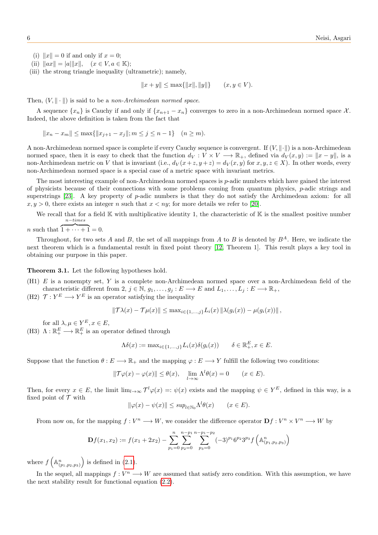- (i)  $||x|| = 0$  if and only if  $x = 0$ ;
- (ii)  $||ax|| = |a|| ||x||$ ,  $(x \in V, a \in \mathbb{K})$ ;
- (iii) the strong triangle inequality (ultrametric); namely,

 $||x + y|| \le \max{||x||, ||y||}$  (x, y ∈ V).

Then,  $(V, \|\cdot\|)$  is said to be a non-Archimedean normed space.

A sequence  $\{x_n\}$  is Cauchy if and only if  $\{x_{n+1} - x_n\}$  converges to zero in a non-Archimedean normed space X. Indeed, the above definition is taken from the fact that

 $||x_n - x_m|| \le \max{||x_{i+1} - x_i||; m \le j \le n-1}$   $(n \ge m)$ .

A non-Archimedean normed space is complete if every Cauchy sequence is convergent. If  $(V, \|\cdot\|)$  is a non-Archimedean normed space, then it is easy to check that the function  $d_V : V \times V \longrightarrow \mathbb{R}_+$ , defined via  $d_V(x, y) := ||x - y||$ , is a non-Archimedean metric on V that is invariant (i.e.,  $d_V(x+z, y+z) = d_V(x, y)$  for  $x, y, z \in X$ ). In other words, every non-Archimedean normed space is a special case of a metric space with invariant metrics.

The most interesting example of non-Archimedean normed spaces is p-adic numbers which have gained the interest of physicists because of their connections with some problems coming from quantum physics, p-adic strings and superstrings [\[23\]](#page-8-21). A key property of p-adic numbers is that they do not satisfy the Archimedean axiom: for all  $x, y > 0$ , there exists an integer n such that  $x < ny$ ; for more details we refer to [\[20\]](#page-8-22).

We recall that for a field  $\mathbb K$  with multiplicative identity 1, the characteristic of  $\mathbb K$  is the smallest positive number n−times

*n* such that  $\overline{1 + \cdots + 1} = 0$ .

Throughout, for two sets A and B, the set of all mappings from A to B is denoted by  $B^A$ . Here, we indicate the next theorem which is a fundamental result in fixed point theory [\[12,](#page-8-18) Theorem 1]. This result plays a key tool in obtaining our purpose in this paper.

<span id="page-5-0"></span>Theorem 3.1. Let the following hypotheses hold.

- (H1) E is a nonempty set, Y is a complete non-Archimedean normed space over a non-Archimedean field of the characteristic different from 2,  $j \in \mathbb{N}$ ,  $g_1, \ldots, g_j : E \longrightarrow E$  and  $L_1, \ldots, L_j : E \longrightarrow \mathbb{R}_+$ ,
- (H2)  $\mathcal{T}: Y^E \longrightarrow Y^E$  is an operator satisfying the inequality

$$
\|\mathcal{T}\lambda(x) - \mathcal{T}\mu(x)\| \leq \max_{i \in \{1, ..., j\}} L_i(x) \|\lambda(g_i(x)) - \mu(g_i(x))\|,
$$

for all  $\lambda, \mu \in Y^E, x \in E$ ,

(H3)  $\Lambda : \mathbb{R}^E_+ \longrightarrow \mathbb{R}^E_+$  is an operator defined through

$$
\Lambda \delta(x) := \max_{i \in \{1, ..., j\}} L_i(x) \delta(g_i(x)) \qquad \delta \in \mathbb{R}_+^E, x \in E.
$$

Suppose that the function  $\theta : E \longrightarrow \mathbb{R}_+$  and the mapping  $\varphi : E \longrightarrow Y$  fulfill the following two conditions:

$$
\|\mathcal{T}\varphi(x) - \varphi(x)\| \le \theta(x), \quad \lim_{l \to \infty} \Lambda^l \theta(x) = 0 \qquad (x \in E).
$$

Then, for every  $x \in E$ , the limit  $\lim_{l\to\infty} \mathcal{T}^l \varphi(x) =: \psi(x)$  exists and the mapping  $\psi \in Y^E$ , defined in this way, is a fixed point of  $\mathcal T$  with

$$
\|\varphi(x) - \psi(x)\| \le \sup_{l \in \mathbb{N}_0} \Lambda^l \theta(x) \qquad (x \in E).
$$

From now on, for the mapping  $f: V^n \longrightarrow W$ , we consider the difference operator  $\mathbf{D} f: V^n \times V^n \longrightarrow W$  by

$$
\mathbf{D}f(x_1, x_2) := f(x_1 + 2x_2) - \sum_{p_1=0}^{n} \sum_{p_2=0}^{n-p_1} \sum_{p_3=0}^{n-p_1-p_2} (-3)^{p_1} 6^{p_2} 3^{p_3} f\left(\mathbb{A}_{(p_1, p_2, p_3)}^n\right)
$$

where  $f\left(\mathbb{A}^n_{(p_1,p_2,p_3)}\right)$  is defined in [\(2.1\)](#page-1-0).

<span id="page-5-1"></span>In the sequel, all mappings  $f: V^n \longrightarrow W$  are assumed that satisfy zero condition. With this assumption, we have the next stability result for functional equation [\(2.2\)](#page-2-0).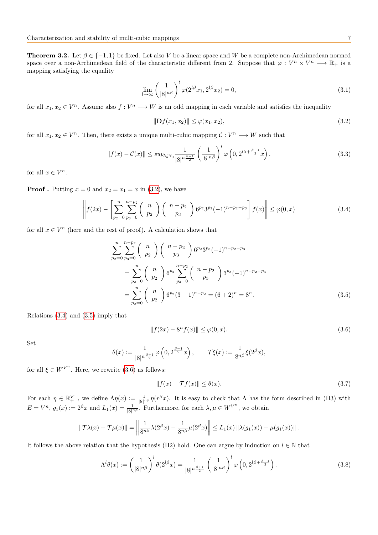**Theorem 3.2.** Let  $\beta \in \{-1, 1\}$  be fixed. Let also V be a linear space and W be a complete non-Archimedean normed space over a non-Archimedean field of the characteristic different from 2. Suppose that  $\varphi: V^n \times V^n \longrightarrow \mathbb{R}_+$  is a mapping satisfying the equality

$$
\lim_{l \to \infty} \left(\frac{1}{|8|^{n\beta}}\right)^l \varphi(2^{l\beta}x_1, 2^{l\beta}x_2) = 0,\tag{3.1}
$$

for all  $x_1, x_2 \in V^n$ . Assume also  $f: V^n \longrightarrow W$  is an odd mapping in each variable and satisfies the inequality

<span id="page-6-7"></span><span id="page-6-1"></span><span id="page-6-0"></span>
$$
\|\mathbf{D}f(x_1, x_2)\| \le \varphi(x_1, x_2),\tag{3.2}
$$

for all  $x_1, x_2 \in V^n$ . Then, there exists a unique multi-cubic mapping  $\mathcal{C}: V^n \longrightarrow W$  such that

<span id="page-6-6"></span>
$$
||f(x) - C(x)|| \le \sup_{l \in \mathbb{N}_0} \frac{1}{|8|^{n\frac{\beta+1}{2}}} \left(\frac{1}{|8|^{n\beta}}\right)^l \varphi\left(0, 2^{l\beta + \frac{\beta-1}{2}}x\right),\tag{3.3}
$$

for all  $x \in V^n$ .

**Proof**. Putting  $x = 0$  and  $x_2 = x_1 = x$  in [\(3.2\)](#page-6-0), we have

$$
\left\| f(2x) - \left[ \sum_{p_2=0}^n \sum_{p_3=0}^{n-p_2} \binom{n}{p_2} \binom{n-p_2}{p_3} 6^{p_2} 3^{p_3} (-1)^{n-p_2-p_3} \right] f(x) \right\| \le \varphi(0, x)
$$
\n(3.4)

for all  $x \in V^n$  (here and the rest of proof). A calculation shows that

$$
\sum_{p_2=0}^{n} \sum_{p_3=0}^{n-p_2} {n \choose p_2} {n-p_2 \choose p_3} 6^{p_2} 3^{p_3} (-1)^{n-p_2-p_3}
$$
  
= 
$$
\sum_{p_2=0}^{n} {n \choose p_2} 6^{p_2} \sum_{p_3=0}^{n-p_2} {n-p_2 \choose p_3} 3^{p_3} (-1)^{n-p_2-p_3}
$$
  
= 
$$
\sum_{p_2=0}^{n} {n \choose p_2} 6^{p_2} (3-1)^{n-p_2} = (6+2)^n = 8^n.
$$
 (3.5)

Relations [\(3.4\)](#page-6-1) and [\(3.5\)](#page-6-2) imply that

<span id="page-6-3"></span><span id="page-6-2"></span>
$$
||f(2x) - 8n f(x)|| \le \varphi(0, x).
$$
 (3.6)

Set

$$
\theta(x) := \frac{1}{|8|^{n\frac{\beta+1}{2}}}\varphi\left(0, 2^{\frac{\beta-1}{2}}x\right), \qquad \mathcal{T}\xi(x) := \frac{1}{8^{n\beta}}\xi(2^{\beta}x),
$$

for all  $\xi \in W^{V^n}$ . Here, we rewrite [\(3.6\)](#page-6-3) as follows:

<span id="page-6-5"></span><span id="page-6-4"></span>
$$
||f(x) - \mathcal{T}f(x)|| \le \theta(x). \tag{3.7}
$$

For each  $\eta \in \mathbb{R}^{V^n}_+$ , we define  $\Lambda \eta(x) := \frac{1}{|\mathcal{S}|^{n\beta}} \eta(r^{\beta} x)$ . It is easy to check that  $\Lambda$  has the form described in (H3) with  $E = V^n$ ,  $g_1(x) := 2^{\beta} x$  and  $L_1(x) = \frac{1}{|8|^{n\beta}}$ . Furthermore, for each  $\lambda, \mu \in W^{V^n}$ , we obtain

$$
\|\mathcal{T}\lambda(x) - \mathcal{T}\mu(x)\| = \left\|\frac{1}{8^{n\beta}}\lambda(2^{\beta}x) - \frac{1}{8^{n\beta}}\mu(2^{\beta}x)\right\| \le L_1(x) \left\|\lambda(g_1(x)) - \mu(g_1(x))\right\|.
$$

It follows the above relation that the hypothesis (H2) hold. One can argue by induction on  $l \in \mathbb{N}$  that

$$
\Lambda^{l}\theta(x) := \left(\frac{1}{|8|^{n\beta}}\right)^{l}\theta(2^{l\beta}x) = \frac{1}{|8|^{n\frac{\beta+1}{2}}} \left(\frac{1}{|8|^{n\beta}}\right)^{l}\varphi\left(0, 2^{l\beta + \frac{\beta-1}{2}}\right). \tag{3.8}
$$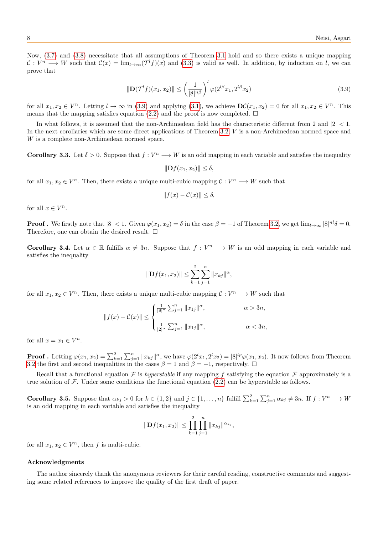Now, [\(3.7\)](#page-6-4) and [\(3.8\)](#page-6-5) necessitate that all assumptions of Theorem [3.1](#page-5-0) hold and so there exists a unique mapping  $\mathcal{C}: V^n \longrightarrow W$  such that  $\mathcal{C}(x) = \lim_{l \to \infty} (\mathcal{T}^l f)(x)$  and [\(3.3\)](#page-6-6) is valid as well. In addition, by induction on l, we can prove that

$$
\|\mathbf{D}(\mathcal{T}^{l}f)(x_{1},x_{2})\| \leq \left(\frac{1}{|8|^{n\beta}}\right)^{l} \varphi(2^{l\beta}x_{1}, 2^{l\beta}x_{2})
$$
\n(3.9)

for all  $x_1, x_2 \in V^n$ . Letting  $l \to \infty$  in [\(3.9\)](#page-7-0) and applying [\(3.1\)](#page-6-7), we achieve  $\mathbf{D}\mathcal{C}(x_1, x_2) = 0$  for all  $x_1, x_2 \in V^n$ . This means that the mapping satisfies equation [\(2.2\)](#page-2-0) and the proof is now completed.  $\Box$ 

In what follows, it is assumed that the non-Archimedean field has the characteristic different from 2 and  $|2| < 1$ . In the next corollaries which are some direct applications of Theorem [3.2,](#page-5-1) V is a non-Archimedean normed space and W is a complete non-Archimedean normed space.

**Corollary 3.3.** Let  $\delta > 0$ . Suppose that  $f: V^n \longrightarrow W$  is an odd mapping in each variable and satisfies the inequality

<span id="page-7-0"></span> $||\mathbf{D}f(x_1, x_2)|| \leq \delta,$ 

for all  $x_1, x_2 \in V^n$ . Then, there exists a unique multi-cubic mapping  $\mathcal{C}: V^n \longrightarrow W$  such that

$$
||f(x) - C(x)|| \le \delta,
$$

for all  $x \in V^n$ .

**Proof.** We firstly note that  $|8| < 1$ . Given  $\varphi(x_1, x_2) = \delta$  in the case  $\beta = -1$  of Theorem [3.2,](#page-5-1) we get  $\lim_{l \to \infty} |8|^{nl} \delta = 0$ . Therefore, one can obtain the desired result.  $\square$ 

**Corollary 3.4.** Let  $\alpha \in \mathbb{R}$  fulfills  $\alpha \neq 3n$ . Suppose that  $f: V^n \longrightarrow W$  is an odd mapping in each variable and satisfies the inequality

$$
\|\mathbf{D}f(x_1,x_2)\| \leq \sum_{k=1}^2 \sum_{j=1}^n \|x_{kj}\|^{\alpha},
$$

for all  $x_1, x_2 \in V^n$ . Then, there exists a unique multi-cubic mapping  $\mathcal{C}: V^n \longrightarrow W$  such that

$$
||f(x) - C(x)|| \le \begin{cases} \frac{1}{|8|^n} \sum_{j=1}^n ||x_{1j}||^{\alpha}, & \alpha > 3n, \\ \\ \frac{1}{|2|^{\alpha}} \sum_{j=1}^n ||x_{1j}||^{\alpha}, & \alpha < 3n, \end{cases}
$$

for all  $x = x_1 \in V^n$ .

**Proof** . Letting  $\varphi(x_1, x_2) = \sum_{k=1}^2 \sum_{j=1}^n ||x_{kj}||^\alpha$ , we have  $\varphi(2^l x_1, 2^l x_2) = |8|^{lp} \varphi(x_1, x_2)$ . It now follows from Theorem [3.2](#page-5-1) the first and second inequalities in the cases  $\beta = 1$  and  $\beta = -1$ , respectively.  $\Box$ 

Recall that a functional equation F is hyperstable if any mapping f satisfying the equation F approximately is a true solution of  $\mathcal F$ . Under some conditions the functional equation [\(2.2\)](#page-2-0) can be hyperstable as follows.

**Corollary 3.5.** Suppose that  $\alpha_{kj} > 0$  for  $k \in \{1, 2\}$  and  $j \in \{1, ..., n\}$  fulfill  $\sum_{k=1}^{2} \sum_{j=1}^{n} \alpha_{kj} \neq 3n$ . If  $f: V^n \longrightarrow W$ is an odd mapping in each variable and satisfies the inequality

$$
\|\mathbf{D}f(x_1,x_2)\| \leq \prod_{k=1}^2 \prod_{j=1}^n \|x_{kj}\|^{\alpha_{kj}},
$$

for all  $x_1, x_2 \in V^n$ , then f is multi-cubic.

#### Acknowledgments

The author sincerely thank the anonymous reviewers for their careful reading, constructive comments and suggesting some related references to improve the quality of the first draft of paper.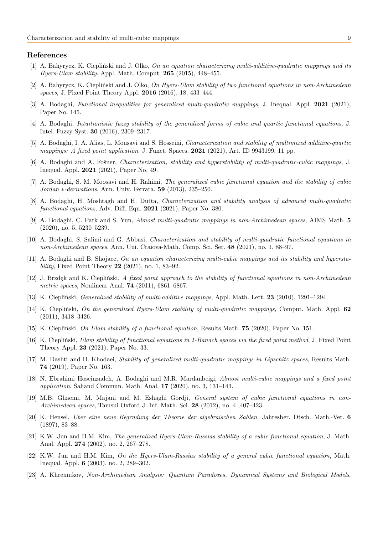# References

- <span id="page-8-16"></span>[1] A. Bahyrycz, K. Ciepliński and J. Olko, On an equation characterizing multi-additive-quadratic mappings and its Hyers-Ulam stability. Appl. Math. Comput.  $265$  (2015), 448-455.
- <span id="page-8-19"></span>[2] A. Bahyrycz, K. Ciepliński and J. Olko, *On Hyers-Ulam stability of two functional equations in non-Archimedean* spaces, J. Fixed Point Theory Appl. 2016 (2016), 18, 433–444.
- <span id="page-8-2"></span>[3] A. Bodaghi, Functional inequalities for generalized multi-quadratic mappings, J. Inequal. Appl. 2021 (2021), Paper No. 145.
- <span id="page-8-7"></span>[4] A. Bodaghi, Intuitionistic fuzzy stability of the generalized forms of cubic and quartic functional equations, J. Intel. Fuzzy Syst. 30 (2016), 2309–2317.
- <span id="page-8-20"></span>[5] A. Bodaghi, I. A. Alias, L. Mousavi and S. Hosseini, Characterization and stability of multimixed additive-quartic mappings: A fixed point application, J. Funct. Spaces.  $2021$  (2021), Art. ID 9943199, 11 pp.
- <span id="page-8-17"></span>[6] A. Bodaghi and A. Fošner, *Characterization, stability and hyperstability of multi-quadratic-cubic mappings*, J. Inequal. Appl. 2021 (2021), Paper No. 49.
- <span id="page-8-8"></span>[7] A. Bodaghi, S. M. Moosavi and H. Rahimi, The generalized cubic functional equation and the stability of cubic Jordan ∗-derivations, Ann. Univ. Ferrara. 59 (2013), 235–250.
- <span id="page-8-3"></span>[8] A. Bodaghi, H. Moshtagh and H. Dutta, Characterization and stability analysis of advanced multi-quadratic functional equations, Adv. Diff. Equ. 2021 (2021), Paper No. 380.
- <span id="page-8-12"></span>[9] A. Bodaghi, C. Park and S. Yun, Almost multi-quadratic mappings in non-Archimedean spaces, AIMS Math. 5 (2020), no. 5, 5230–5239.
- <span id="page-8-4"></span>[10] A. Bodaghi, S. Salimi and G. Abbasi, Characterization and stability of multi-quadratic functional equations in non-Archimedean spaces, Ann. Uni. Craiova-Math. Comp. Sci. Ser. 48 (2021), no. 1, 88–97.
- <span id="page-8-10"></span>[11] A. Bodaghi and B. Shojaee, On an equation characterizing multi-cubic mappings and its stability and hypersta*bility*, Fixed Point Theory  $22$  (2021), no. 1, 83–92.
- <span id="page-8-18"></span>[12] J. Brzdęk and K. Ciepliński, A fixed point approach to the stability of functional equations in non-Archimedean metric spaces, Nonlinear Anal. **74** (2011), 6861-6867.
- <span id="page-8-0"></span>[13] K. Ciepliński, *Generalized stability of multi-additive mappings*, Appl. Math. Lett. **23** (2010), 1291–1294.
- <span id="page-8-13"></span>[14] K. Ciepliński, On the generalized Hyers-Ulam stability of multi-quadratic mappings, Comput. Math. Appl. 62 (2011), 3418–3426.
- <span id="page-8-1"></span>[15] K. Cieplinski, On Ulam stability of a functional equation, Results Math. 75 (2020), Paper No. 151.
- <span id="page-8-14"></span>[16] K. Cieplinski, Ulam stability of functional equations in 2-Banach spaces via the fixed point method, J. Fixed Point Theory Appl. 23 (2021), Paper No. 33.
- <span id="page-8-15"></span>[17] M. Dashti and H. Khodaei, Stability of generalized multi-quadratic mappings in Lipschitz spaces, Results Math. 74 (2019), Paper No. 163.
- <span id="page-8-11"></span>[18] N. Ebrahimi Hoseinzadeh, A. Bodaghi and M.R. Mardanbeigi, Almost multi-cubic mappings and a fixed point application, Sahand Commun. Math. Anal. 17 (2020), no. 3, 131–143.
- <span id="page-8-9"></span>[19] M.B. Ghaemi, M. Majani and M. Eshaghi Gordji, General system of cubic functional equations in non-Archimedean spaces, Tamsui Oxford J. Inf. Math. Sci. 28 (2012), no. 4 ,407–423.
- <span id="page-8-22"></span>[20] K. Hensel, Uber eine neue Begrndung der Theorie der algebraischen Zahlen, Jahresber. Dtsch. Math.-Ver. 6 (1897), 83–88.
- <span id="page-8-5"></span>[21] K.W. Jun and H.M. Kim, The generalized Hyers-Ulam-Russias stability of a cubic functional equation, J. Math. Anal. Appl. 274 (2002), no. 2, 267–278.
- <span id="page-8-6"></span>[22] K.W. Jun and H.M. Kim, On the Hyers-Ulam-Rassias stability of a general cubic functional equation, Math. Inequal. Appl. 6 (2003), no. 2, 289–302.
- <span id="page-8-21"></span>[23] A. Khrennikov, Non-Archimedean Analysis: Quantum Paradoxes, Dynamical Systems and Biological Models,